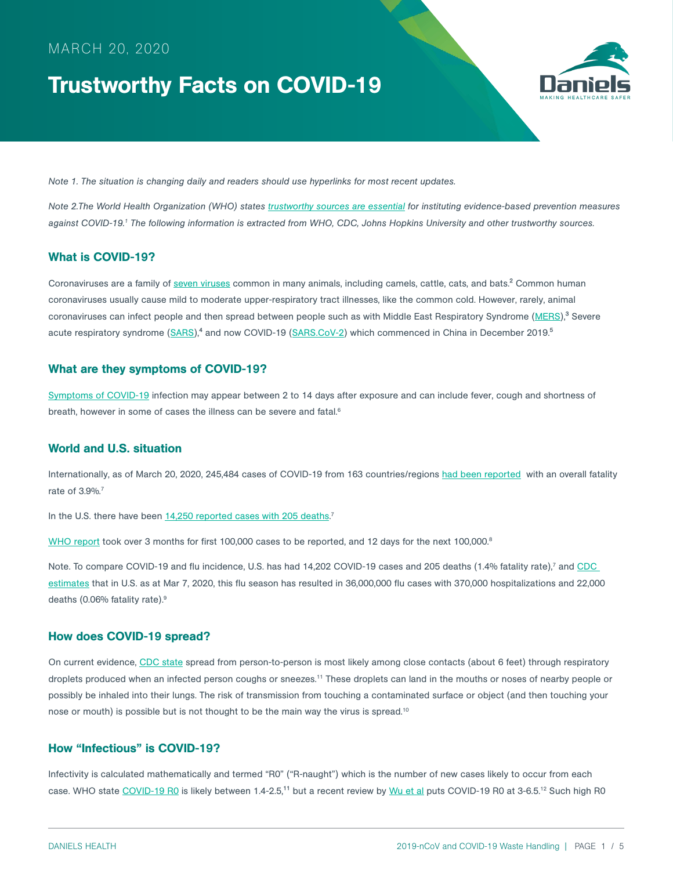# MARCH 20, 2020

# Trustworthy Facts on COVID-19



*Note 1. The situation is changing daily and readers should use hyperlinks for most recent updates.*

*Note 2.The World Health Organization (WHO) states [trustworthy sources are essential](https://www.who.int/docs/default-source/coronaviruse/situation-reports/20200202-sitrep-13-ncov-v3.pdf?sfvrsn=195f4010_6) for instituting evidence-based prevention measures against COVID-19.1 The following information is extracted from WHO, CDC, Johns Hopkins University and other trustworthy sources.* 

### What is COVID-19?

Coronaviruses are a family of [seven viruses](https://www.cdc.gov/coronavirus/types.html) common in many animals, including camels, cattle, cats, and bats.<sup>2</sup> Common human coronaviruses usually cause mild to moderate upper-respiratory tract illnesses, like the common cold. However, rarely, animal coronaviruses can infect people and then spread between people such as with Middle East Respiratory Syndrome ([MERS](https://www.cdc.gov/coronavirus/mers/index.html)),<sup>3</sup> Severe acute respiratory syndrome [\(SARS\)](https://www.cdc.gov/sars/index.html),<sup>4</sup> and now COVID-19 ([SARS.CoV-2](https://www.cdc.gov/coronavirus/2019-ncov/cases-updates/summary.html?CDC_AA_refVal=https%3A%2F%2Fwww.cdc.gov%2Fcoronavirus%2F2019-ncov%2Fsummary.html)) which commenced in China in December 2019.<sup>5</sup>

#### What are they symptoms of COVID-19?

[Symptoms of COVID-19](https://www.cdc.gov/coronavirus/2019-ncov/symptoms-testing/symptoms.html) infection may appear between 2 to 14 days after exposure and can include fever, cough and shortness of breath, however in some of cases the illness can be severe and fatal.<sup>6</sup>

#### World and U.S. situation

Internationally, as of March 20, 2020, 245,484 cases of COVID-19 from 163 countries/regions [had been reported](https://gisanddata.maps.arcgis.com/apps/opsdashboard/index.html#/bda7594740fd40299423467b48e9ecf6) with an overall fatality rate of 3.9%.<sup>7</sup>

In the U.S. there have been [14,250 reported cases with 205 deaths.](https://gisanddata.maps.arcgis.com/apps/opsdashboard/index.html#/bda7594740fd40299423467b48e9ecf6)<sup>7</sup>

[WHO report](https://www.who.int/docs/default-source/coronaviruse/situation-reports/20200319-sitrep-59-covid-19.pdf?sfvrsn=c3dcdef9_2) took over 3 months for first 100,000 cases to be reported, and 12 days for the next 100,000.<sup>8</sup>

Note. To compare COVID-19 and flu incidence, U.S. has had 14,202 COVID-19 cases and 205 deaths (1.4% fatality rate),<sup>7</sup> and CDC [estimates](https://www.cdc.gov/flu/weekly/index.htm) that in U.S. as at Mar 7, 2020, this flu season has resulted in 36,000,000 flu cases with 370,000 hospitalizations and 22,000 deaths (0.06% fatality rate).9

#### How does COVID-19 spread?

On current evidence, [CDC state](https://www.cdc.gov/coronavirus/2019-ncov/prepare/transmission.html?CDC_AA_refVal=https%3A%2F%2Fwww.cdc.gov%2Fcoronavirus%2F2019-ncov%2Fabout%2Ftransmission.html) spread from person-to-person is most likely among close contacts (about 6 feet) through respiratory droplets produced when an infected person coughs or sneezes.<sup>11</sup> These droplets can land in the mouths or noses of nearby people or possibly be inhaled into their lungs. The risk of transmission from touching a contaminated surface or object (and then touching your nose or mouth) is possible but is not thought to be the main way the virus is spread.10

### How "Infectious" is COVID-19?

Infectivity is calculated mathematically and termed "R0" ("R-naught") which is the number of new cases likely to occur from each case. WHO state [COVID-19 R0](https://www.who.int/news-room/detail/23-01-2020-statement-on-the-meeting-of-the-international-health-regulations-(2005)-emergency-committee-regarding-the-outbreak-of-novel-coronavirus-(2019-ncov)) is likely between 1.4-2.5,<sup>11</sup> but a recent review by [Wu et al](https://www.ijidonline.com/article/S1201-9712(20)30123-5/fulltext) puts COVID-19 R0 at 3-6.5.<sup>12</sup> Such high R0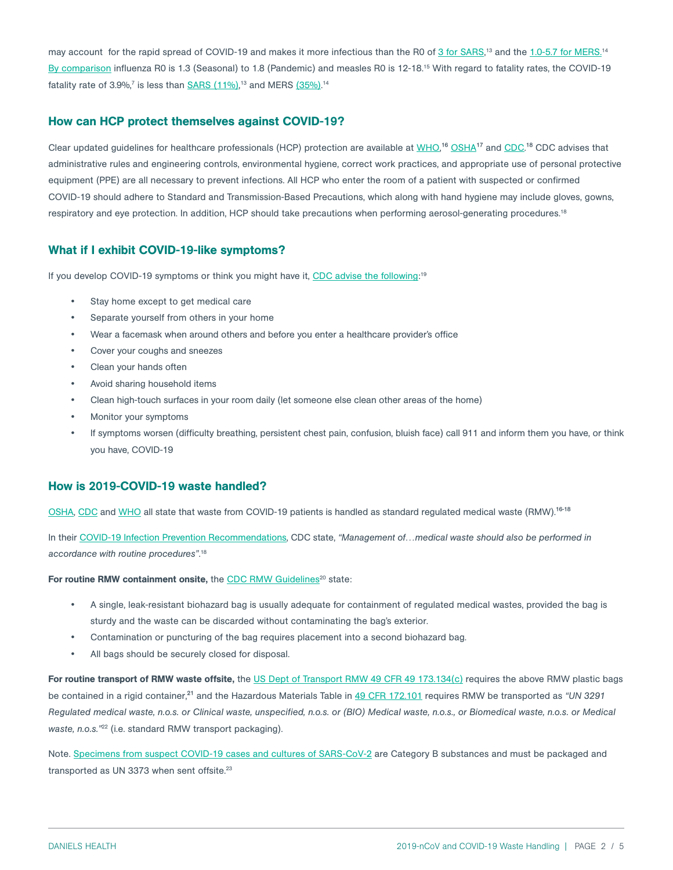may account for the rapid spread of COVID-19 and makes it more infectious than the R0 of <u>3 for SARS</u>,<sup>13</sup> and the <u>1.0-5.7 for MERS.</u>14 [By comparison](https://bmcinfectdis.biomedcentral.com/articles/10.1186/1471-2334-14-480) influenza R0 is 1.3 (Seasonal) to 1.8 (Pandemic) and measles R0 is 12-18.15 With regard to fatality rates, the COVID-19 fatality rate of 3.9%,<sup>7</sup> is less than <u>SARS (11%)</u>,13 and MERS <u>(35%)</u>.14

#### How can HCP protect themselves against COVID-19?

Clear updated guidelines for healthcare professionals (HCP) protection are available at [WHO](https://www.who.int/publications-detail/infection-prevention-and-control-during-health-care-when-novel-coronavirus-(ncov)-infection-is-suspected-20200125),<sup>16</sup> OSHA<sup>17</sup> and [CDC](https://www.cdc.gov/coronavirus/2019-ncov/infection-control/control-recommendations.html?CDC_AA_refVal=https%3A%2F%2Fwww.cdc.gov%2Fcoronavirus%2F2019-ncov%2Fhcp%2Finfection-control.html).<sup>18</sup> CDC advises that administrative rules and engineering controls, environmental hygiene, correct work practices, and appropriate use of personal protective equipment (PPE) are all necessary to prevent infections. All HCP who enter the room of a patient with suspected or confirmed COVID-19 should adhere to Standard and Transmission-Based Precautions, which along with hand hygiene may include gloves, gowns, respiratory and eye protection. In addition, HCP should take precautions when performing aerosol-generating procedures.18

#### What if I exhibit COVID-19-like symptoms?

If you develop COVID-19 symptoms or think you might have it, <u>CDC advise the following</u>:'<sup>9</sup>

- Stay home except to get medical care
- Separate yourself from others in your home
- Wear a facemask when around others and before you enter a healthcare provider's office
- Cover your coughs and sneezes
- Clean your hands often
- Avoid sharing household items
- Clean high-touch surfaces in your room daily (let someone else clean other areas of the home)
- Monitor your symptoms
- If symptoms worsen (difficulty breathing, persistent chest pain, confusion, bluish face) call 911 and inform them you have, or think you have, COVID-19

#### How is 2019-COVID-19 waste handled?

[OSHA](https://www.osha.gov/SLTC/novel_coronavirus/controlprevention.html), [CDC](https://www.cdc.gov/coronavirus/2019-nCoV/hcp/infection-control.html) and [WHO](https://www.who.int/publications-detail/infection-prevention-and-control-during-health-care-when-novel-coronavirus-(ncov)-infection-is-suspected-20200125) all state that waste from COVID-19 patients is handled as standard regulated medical waste (RMW).<sup>16-18</sup>

In their COVID-1[9 Infection Prevention Recommendations,](https://www.cdc.gov/coronavirus/2019-ncov/infection-control/control-recommendations.html?CDC_AA_refVal=https%3A%2F%2Fwww.cdc.gov%2Fcoronavirus%2F2019-ncov%2Fhcp%2Finfection-control.html) CDC state, *"Management of…medical waste should also be performed in accordance with routine procedures"*. 18

#### For routine RMW containment onsite, the [CDC RMW Guidelines](https://www.cdc.gov/infectioncontrol/guidelines/environmental/background/medical-waste.html)<sup>20</sup> state:

- A single, leak-resistant biohazard bag is usually adequate for containment of regulated medical wastes, provided the bag is sturdy and the waste can be discarded without contaminating the bag's exterior.
- Contamination or puncturing of the bag requires placement into a second biohazard bag.
- All bags should be securely closed for disposal.

For routine transport of RMW waste offsite, the [US Dept of Transport RMW 49 CFR 49 173.134\(c\)](https://www.law.cornell.edu/cfr/text/49/173.197) requires the above RMW plastic bags be contained in a rigid container,<sup>21</sup> and the Hazardous Materials Table in [49 CFR 172.101](https://www.ecfr.gov/cgi-bin/text-idx?SID=ae15ede2730beed1bb677b2021049803&mc=true&node=se49.2.172_1101&rgn=div8) requires RMW be transported as "UN 3291 *Regulated medical waste, n.o.s. or Clinical waste, unspecified, n.o.s. or (BIO) Medical waste, n.o.s., or Biomedical waste, n.o.s. or Medical waste, n.o.s."*22 (i.e. standard RMW transport packaging).

Note. [Specimens from suspect COVID-19 cases and cultures of SARS-CoV-2](https://www.cdc.gov/coronavirus/2019-ncov/lab/lab-biosafety-guidelines.html?CDC_AA_refVal=https%3A%2F%2Fwww.cdc.gov%2Fcoronavirus%2F2019-ncov%2Flab-biosafety-guidelines.html) are Category B substances and must be packaged and transported as UN 3373 when sent offsite.<sup>23</sup>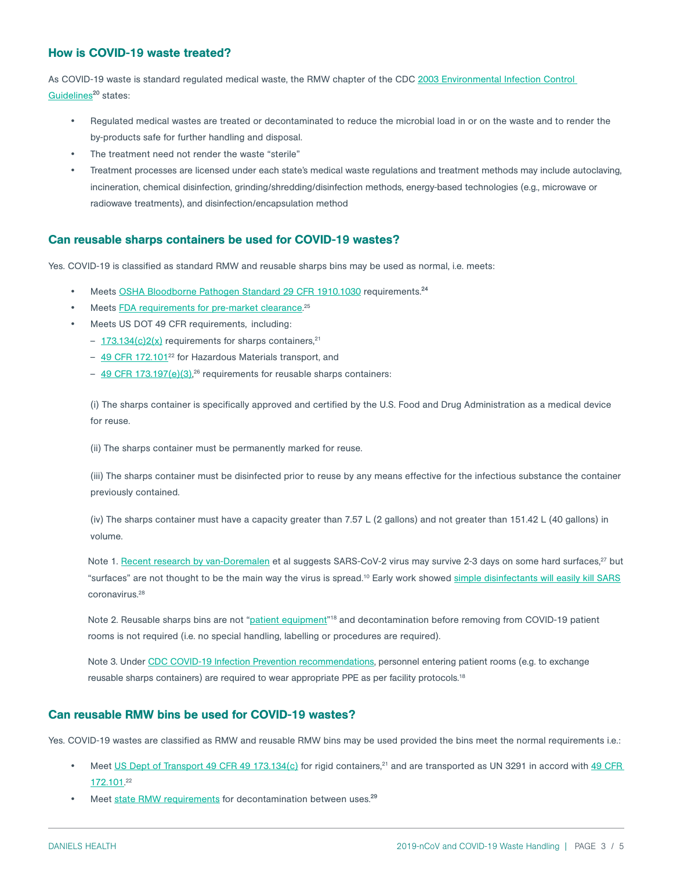## How is COVID-19 waste treated?

As COVID-19 waste is standard regulated medical waste, the RMW chapter of the CDC [2003 Environmental Infection Control](https://www.cdc.gov/infectioncontrol/guidelines/environmental/background/medical-waste.html)  Guidelines<sup>20</sup> states:

- Regulated medical wastes are treated or decontaminated to reduce the microbial load in or on the waste and to render the by-products safe for further handling and disposal.
- The treatment need not render the waste "sterile"
- Treatment processes are licensed under each state's medical waste regulations and treatment methods may include autoclaving, incineration, chemical disinfection, grinding/shredding/disinfection methods, energy-based technologies (e.g., microwave or radiowave treatments), and disinfection/encapsulation method

### Can reusable sharps containers be used for COVID-19 wastes?

Yes. COVID-19 is classified as standard RMW and reusable sharps bins may be used as normal, i.e. meets:

- Meets [OSHA Bloodborne Pathogen Standard 29 CFR 1910.1030](https://www.osha.gov/pls/oshaweb/owadisp.show_document?p_id=10051&p_table=STANDARDS) requirements.<sup>24</sup>
- Meets **FDA requirements for pre-market clearance**.<sup>25</sup>
- Meets US DOT 49 CFR requirements, including:
	- $-173.134(c)2(x)$  requirements for sharps containers,<sup>21</sup>
	- [49 CFR 172.101](https://www.ecfr.gov/cgi-bin/text-idx?SID=ae15ede2730beed1bb677b2021049803&mc=true&node=se49.2.172_1101&rgn=div8)<sup>22</sup> for Hazardous Materials transport, and
	- [49 CFR 173.197\(e\)\(3\),](https://www.law.cornell.edu/cfr/text/49/173.197)<sup>26</sup> requirements for reusable sharps containers:

(i) The sharps container is specifically approved and certified by the U.S. Food and Drug Administration as a medical device for reuse.

(ii) The sharps container must be permanently marked for reuse.

(iii) The sharps container must be disinfected prior to reuse by any means effective for the infectious substance the container previously contained.

(iv) The sharps container must have a capacity greater than 7.57 L (2 gallons) and not greater than 151.42 L (40 gallons) in volume.

Note 1. [Recent research by van-Doremalen](https://www.nejm.org/doi/pdf/10.1056/NEJMc2004973?articleTools=true) et al suggests SARS-CoV-2 virus may survive 2-3 days on some hard surfaces,<sup>27</sup> but "surfaces" are not thought to be the main way the virus is spread.<sup>10</sup> Early work showed [simple disinfectants will easily kill SARS](https://www.journalofhospitalinfection.com/article/S0195-6701(05)00044-7/pdf) coronavirus.28

Note 2. Reusable sharps bins are not ["patient equipment"](https://www.cdc.gov/coronavirus/2019-ncov/infection-control/control-recommendations.html?CDC_AA_refVal=https%3A%2F%2Fwww.cdc.gov%2Fcoronavirus%2F2019-ncov%2Fhcp%2Finfection-control.html)<sup>18</sup> and decontamination before removing from COVID-19 patient rooms is not required (i.e. no special handling, labelling or procedures are required).

Note 3. Under [CDC COVID-19 Infection Prevention recommendations](https://www.cdc.gov/coronavirus/2019-ncov/infection-control/control-recommendations.html?CDC_AA_refVal=https%3A%2F%2Fwww.cdc.gov%2Fcoronavirus%2F2019-ncov%2Fhcp%2Finfection-control.html), personnel entering patient rooms (e.g. to exchange reusable sharps containers) are required to wear appropriate PPE as per facility protocols.<sup>18</sup>

#### Can reusable RMW bins be used for COVID-19 wastes?

Yes. COVID-19 wastes are classified as RMW and reusable RMW bins may be used provided the bins meet the normal requirements i.e.:

- Meet [US Dept of Transport 49 CFR 49 173.134\(c\)](https://www.law.cornell.edu/cfr/text/49/173.197) for rigid containers,<sup>21</sup> and are transported as UN 3291 in accord with 49 CFR [172.101.](https://www.ecfr.gov/cgi-bin/text-idx?SID=ae15ede2730beed1bb677b2021049803&mc=true&node=se49.2.172_1101&rgn=div8) 22
- Meet [state RMW requirements](http://www.hercenter.org/rmw/rmwlocator.php) for decontamination between uses.<sup>29</sup>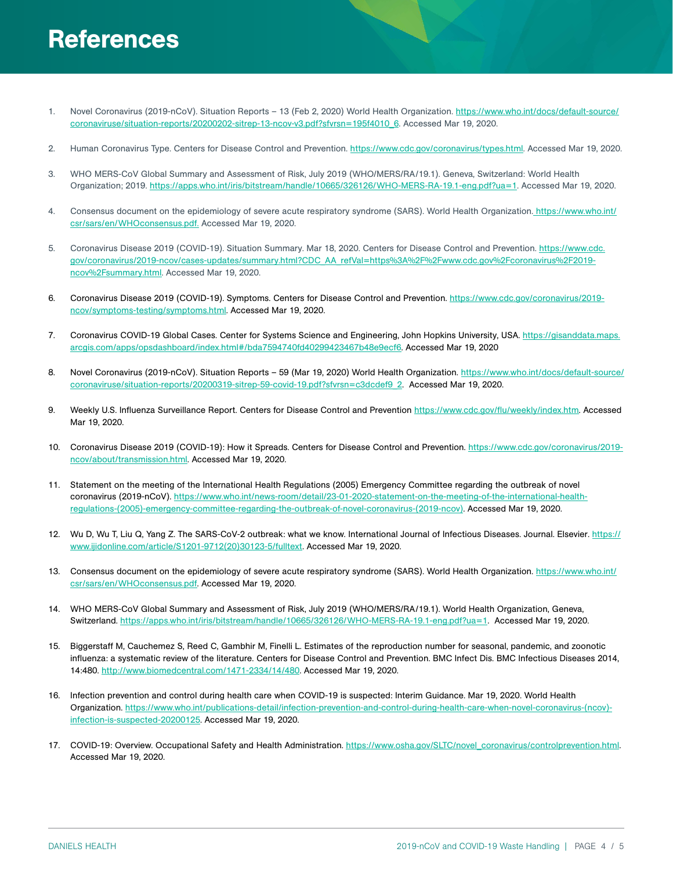# References

- 1. Novel Coronavirus (2019-nCoV). Situation Reports 13 (Feb 2, 2020) World Health Organization. [https://www.who.int/docs/default-source/](https://www.who.int/docs/default-source/coronaviruse/situation-reports/20200202-sitrep-13-ncov-v3.pdf?sfvrsn=195f4010_6) [coronaviruse/situation-reports/20200202-sitrep-13-ncov-v3.pdf?sfvrsn=195f4010\\_6.](https://www.who.int/docs/default-source/coronaviruse/situation-reports/20200202-sitrep-13-ncov-v3.pdf?sfvrsn=195f4010_6) Accessed Mar 19, 2020.
- 2. Human Coronavirus Type. Centers for Disease Control and Prevention. <https://www.cdc.gov/coronavirus/types.html>. Accessed Mar 19, 2020.
- 3. WHO MERS-CoV Global Summary and Assessment of Risk, July 2019 (WHO/MERS/RA/19.1). Geneva, Switzerland: World Health Organization; 2019.<https://apps.who.int/iris/bitstream/handle/10665/326126/WHO-MERS-RA-19.1-eng.pdf?ua=1>. Accessed Mar 19, 2020.
- 4. Consensus document on the epidemiology of severe acute respiratory syndrome (SARS). World Health Organization[. https://www.who.int/](https://www.who.int/csr/sars/en/WHOconsensus.pdf) [csr/sars/en/WHOconsensus.pdf.](https://www.who.int/csr/sars/en/WHOconsensus.pdf) Accessed Mar 19, 2020.
- 5. Coronavirus Disease 2019 (COVID-19). Situation Summary. Mar 18, 2020. Centers for Disease Control and Prevention. [https://www.cdc.](https://www.cdc.gov/coronavirus/2019-ncov/cases-updates/summary.html?CDC_AA_refVal=https%3A%2F%2Fwww.cdc.gov%2Fcoronavirus%2F2019-ncov%2Fsummary.html) [gov/coronavirus/2019-ncov/cases-updates/summary.html?CDC\\_AA\\_refVal=https%3A%2F%2Fwww.cdc.gov%2Fcoronavirus%2F2019](https://www.cdc.gov/coronavirus/2019-ncov/cases-updates/summary.html?CDC_AA_refVal=https%3A%2F%2Fwww.cdc.gov%2Fcoronavirus%2F2019-ncov%2Fsummary.html) [ncov%2Fsummary.html](https://www.cdc.gov/coronavirus/2019-ncov/cases-updates/summary.html?CDC_AA_refVal=https%3A%2F%2Fwww.cdc.gov%2Fcoronavirus%2F2019-ncov%2Fsummary.html). Accessed Mar 19, 2020.
- 6. Coronavirus Disease 2019 (COVID-19). Symptoms. Centers for Disease Control and Prevention. [https://www.cdc.gov/coronavirus/2019](https://www.cdc.gov/coronavirus/2019-ncov/symptoms-testing/symptoms.html) [ncov/symptoms-testing/symptoms.html.](https://www.cdc.gov/coronavirus/2019-ncov/symptoms-testing/symptoms.html) Accessed Mar 19, 2020.
- 7. Coronavirus COVID-19 Global Cases. Center for Systems Science and Engineering, John Hopkins University, USA. [https://gisanddata.maps.](https://gisanddata.maps.arcgis.com/apps/opsdashboard/index.html#/bda7594740fd40299423467b48e9ecf6) [arcgis.com/apps/opsdashboard/index.html#/bda7594740fd40299423467b48e9ecf6](https://gisanddata.maps.arcgis.com/apps/opsdashboard/index.html#/bda7594740fd40299423467b48e9ecf6). Accessed Mar 19, 2020
- 8. Novel Coronavirus (2019-nCoV). Situation Reports 59 (Mar 19, 2020) World Health Organization. [https://www.who.int/docs/default-source/](https://www.who.int/docs/default-source/coronaviruse/situation-reports/20200319-sitrep-59-covid-19.pdf?sfvrsn=c3dcdef9_2) [coronaviruse/situation-reports/20200319-sitrep-59-covid-19.pdf?sfvrsn=c3dcdef9\\_2](https://www.who.int/docs/default-source/coronaviruse/situation-reports/20200319-sitrep-59-covid-19.pdf?sfvrsn=c3dcdef9_2). Accessed Mar 19, 2020.
- 9. Weekly U.S. Influenza Surveillance Report. Centers for Disease Control and Prevention [https://www.cdc.gov/flu/weekly/index.htm.](https://www.cdc.gov/flu/weekly/index.htm) Accessed Mar 19, 2020.
- 10. Coronavirus Disease 2019 (COVID-19): How it Spreads. Centers for Disease Control and Prevention. [https://www.cdc.gov/coronavirus/2019](https://www.cdc.gov/coronavirus/2019-ncov/prepare/transmission.html?CDC_AA_refVal=https%3A%2F%2Fwww.cdc.gov%2Fcoronavirus%2F2019-ncov%2Fabout%2Ftransmission.html) [ncov/about/transmission.html.](https://www.cdc.gov/coronavirus/2019-ncov/prepare/transmission.html?CDC_AA_refVal=https%3A%2F%2Fwww.cdc.gov%2Fcoronavirus%2F2019-ncov%2Fabout%2Ftransmission.html) Accessed Mar 19, 2020.
- 11. Statement on the meeting of the International Health Regulations (2005) Emergency Committee regarding the outbreak of novel coronavirus (2019-nCoV). [https://www.who.int/news-room/detail/23-01-2020-statement-on-the-meeting-of-the-international-health](https://www.who.int/news-room/detail/23-01-2020-statement-on-the-meeting-of-the-international-health-regulations-(2005)-emergency-committee-regarding-the-outbreak-of-novel-coronavirus-(2019-ncov))[regulations-\(2005\)-emergency-committee-regarding-the-outbreak-of-novel-coronavirus-\(2019-ncov\).](https://www.who.int/news-room/detail/23-01-2020-statement-on-the-meeting-of-the-international-health-regulations-(2005)-emergency-committee-regarding-the-outbreak-of-novel-coronavirus-(2019-ncov)) Accessed Mar 19, 2020.
- 12. Wu D, Wu T, Liu Q, Yang Z. The SARS-CoV-2 outbreak: what we know. International Journal of Infectious Diseases. Journal. Elsevier. [https://](https://www.ijidonline.com/article/S1201-9712(20)30123-5/fulltext) [www.ijidonline.com/article/S1201-9712\(20\)30123-5/fulltext](https://www.ijidonline.com/article/S1201-9712(20)30123-5/fulltext). Accessed Mar 19, 2020.
- 13. Consensus document on the epidemiology of severe acute respiratory syndrome (SARS). World Health Organization. [https://www.who.int/](https://www.who.int/csr/sars/en/WHOconsensus.pdf) [csr/sars/en/WHOconsensus.pdf](https://www.who.int/csr/sars/en/WHOconsensus.pdf). Accessed Mar 19, 2020.
- 14. WHO MERS-CoV Global Summary and Assessment of Risk, July 2019 (WHO/MERS/RA/19.1). World Health Organization, Geneva, Switzerland. [https://apps.who.int/iris/bitstream/handle/10665/326126/WHO-MERS-RA-19.1-eng.pdf?ua=1.](https://apps.who.int/iris/bitstream/handle/10665/326126/WHO-MERS-RA-19.1-eng.pdf?ua=1) Accessed Mar 19, 2020.
- 15. Biggerstaff M, Cauchemez S, Reed C, Gambhir M, Finelli L. Estimates of the reproduction number for seasonal, pandemic, and zoonotic influenza: a systematic review of the literature. Centers for Disease Control and Prevention. BMC Infect Dis. BMC Infectious Diseases 2014, 14:480. [http://www.biomedcentral.com/1471-2334/14/480.](https://bmcinfectdis.biomedcentral.com/articles/10.1186/1471-2334-14-480) Accessed Mar 19, 2020.
- 16. Infection prevention and control during health care when COVID-19 is suspected: Interim Guidance. Mar 19, 2020. World Health Organization. [https://www.who.int/publications-detail/infection-prevention-and-control-during-health-care-when-novel-coronavirus-\(ncov\)](https://www.who.int/publications-detail/infection-prevention-and-control-during-health-care-when-novel-coronavirus-(ncov)-infection-is-suspected-20200125) [infection-is-suspected-20200125](https://www.who.int/publications-detail/infection-prevention-and-control-during-health-care-when-novel-coronavirus-(ncov)-infection-is-suspected-20200125). Accessed Mar 19, 2020.
- 17. COVID-19: Overview. Occupational Safety and Health Administration. [https://www.osha.gov/SLTC/novel\\_coronavirus/controlprevention.html.](https://www.osha.gov/SLTC/covid-19/) Accessed Mar 19, 2020.